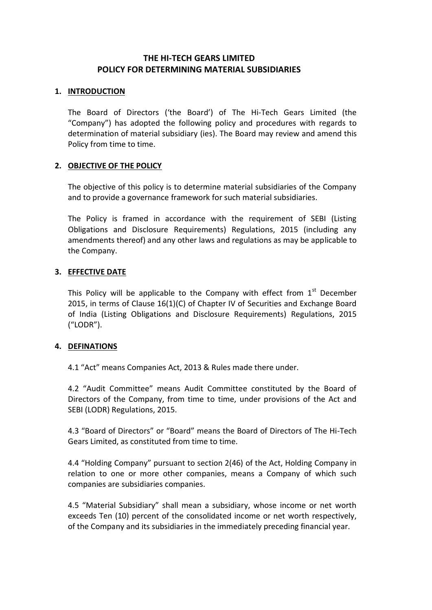# **THE HI-TECH GEARS LIMITED POLICY FOR DETERMINING MATERIAL SUBSIDIARIES**

### **1. INTRODUCTION**

The Board of Directors ('the Board') of The Hi-Tech Gears Limited (the "Company") has adopted the following policy and procedures with regards to determination of material subsidiary (ies). The Board may review and amend this Policy from time to time.

# **2. OBJECTIVE OF THE POLICY**

The objective of this policy is to determine material subsidiaries of the Company and to provide a governance framework for such material subsidiaries.

The Policy is framed in accordance with the requirement of SEBI (Listing Obligations and Disclosure Requirements) Regulations, 2015 (including any amendments thereof) and any other laws and regulations as may be applicable to the Company.

### **3. EFFECTIVE DATE**

This Policy will be applicable to the Company with effect from  $1<sup>st</sup>$  December 2015, in terms of Clause 16(1)(C) of Chapter IV of Securities and Exchange Board of India (Listing Obligations and Disclosure Requirements) Regulations, 2015 ("LODR").

### **4. DEFINATIONS**

4.1 "Act" means Companies Act, 2013 & Rules made there under.

4.2 "Audit Committee" means Audit Committee constituted by the Board of Directors of the Company, from time to time, under provisions of the Act and SEBI (LODR) Regulations, 2015.

4.3 "Board of Directors" or "Board" means the Board of Directors of The Hi-Tech Gears Limited, as constituted from time to time.

4.4 "Holding Company" pursuant to section 2(46) of the Act, Holding Company in relation to one or more other companies, means a Company of which such companies are subsidiaries companies.

4.5 "Material Subsidiary" shall mean a subsidiary, whose income or net worth exceeds Ten (10) percent of the consolidated income or net worth respectively, of the Company and its subsidiaries in the immediately preceding financial year.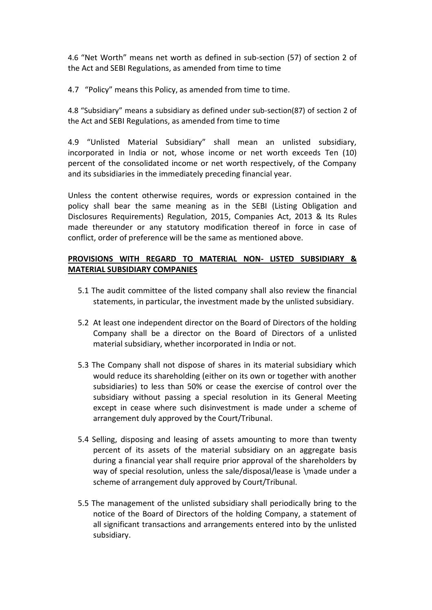4.6 "Net Worth" means net worth as defined in sub-section (57) of section 2 of the Act and SEBI Regulations, as amended from time to time

4.7 "Policy" means this Policy, as amended from time to time.

4.8 "Subsidiary" means a subsidiary as defined under sub-section(87) of section 2 of the Act and SEBI Regulations, as amended from time to time

4.9 "Unlisted Material Subsidiary" shall mean an unlisted subsidiary, incorporated in India or not, whose income or net worth exceeds Ten (10) percent of the consolidated income or net worth respectively, of the Company and its subsidiaries in the immediately preceding financial year.

Unless the content otherwise requires, words or expression contained in the policy shall bear the same meaning as in the SEBI (Listing Obligation and Disclosures Requirements) Regulation, 2015, Companies Act, 2013 & Its Rules made thereunder or any statutory modification thereof in force in case of conflict, order of preference will be the same as mentioned above.

## **PROVISIONS WITH REGARD TO MATERIAL NON- LISTED SUBSIDIARY & MATERIAL SUBSIDIARY COMPANIES**

- 5.1 The audit committee of the listed company shall also review the financial statements, in particular, the investment made by the unlisted subsidiary.
- 5.2 At least one independent director on the Board of Directors of the holding Company shall be a director on the Board of Directors of a unlisted material subsidiary, whether incorporated in India or not.
- 5.3 The Company shall not dispose of shares in its material subsidiary which would reduce its shareholding (either on its own or together with another subsidiaries) to less than 50% or cease the exercise of control over the subsidiary without passing a special resolution in its General Meeting except in cease where such disinvestment is made under a scheme of arrangement duly approved by the Court/Tribunal.
- 5.4 Selling, disposing and leasing of assets amounting to more than twenty percent of its assets of the material subsidiary on an aggregate basis during a financial year shall require prior approval of the shareholders by way of special resolution, unless the sale/disposal/lease is \made under a scheme of arrangement duly approved by Court/Tribunal.
- 5.5 The management of the unlisted subsidiary shall periodically bring to the notice of the Board of Directors of the holding Company, a statement of all significant transactions and arrangements entered into by the unlisted subsidiary.